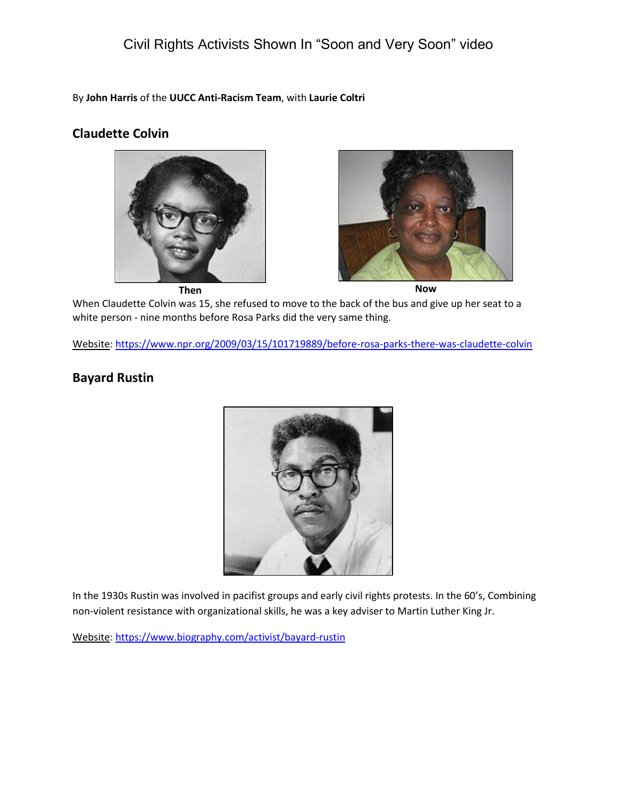# Civil Rights Activists Shown In "Soon and Very Soon" video

By **John Harris** of the **UUCC Anti-Racism Team**, with **Laurie Coltri**

#### **Claudette Colvin**





When Claudette Colvin was 15, she refused to move to the back of the bus and give up her seat to a

white person - nine months before Rosa Parks did the very same thing.

Website[: https://www.npr.org/2009/03/15/101719889/before-rosa-parks-there-was-claudette-colvin](https://www.npr.org/2009/03/15/101719889/before-rosa-parks-there-was-claudette-colvin)

### **Bayard Rustin**



In the 1930s Rustin was involved in pacifist groups and early civil rights protests. In the 60's, Combining non-violent resistance with organizational skills, he was a key adviser to Martin Luther King Jr.

Website[: https://www.biography.com/activist/bayard-rustin](https://www.biography.com/activist/bayard-rustin)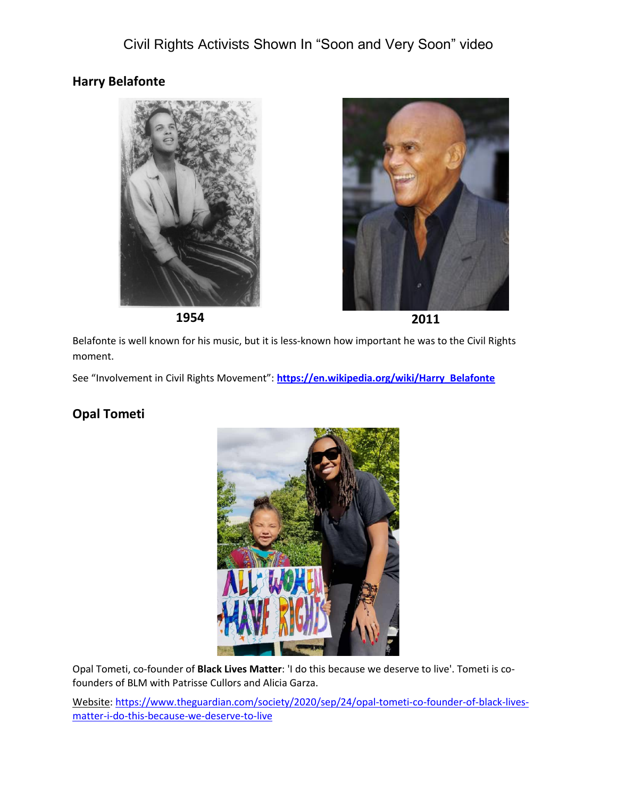### **Harry Belafonte**







**1954 2011**

Belafonte is well known for his music, but it is less-known how important he was to the Civil Rights moment.

See "Involvement in Civil Rights Movement": **[https://en.wikipedia.org/wiki/Harry\\_Belafonte](https://en.wikipedia.org/wiki/Harry_Belafonte)**

### **Opal Tometi**



Opal Tometi, co-founder of **Black Lives Matter**: 'I do this because we deserve to live'. Tometi is cofounders of BLM with Patrisse Cullors and Alicia Garza.

Website[: https://www.theguardian.com/society/2020/sep/24/opal-tometi-co-founder-of-black-lives](https://www.theguardian.com/society/2020/sep/24/opal-tometi-co-founder-of-black-lives-matter-i-do-this-because-we-deserve-to-live)[matter-i-do-this-because-we-deserve-to-live](https://www.theguardian.com/society/2020/sep/24/opal-tometi-co-founder-of-black-lives-matter-i-do-this-because-we-deserve-to-live)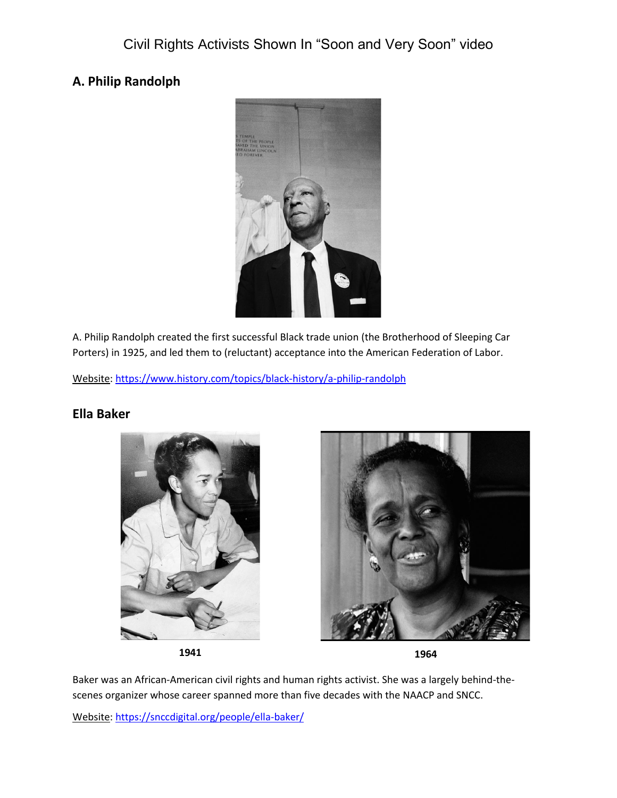## **A. Philip Randolph**



A. Philip Randolph created the first successful Black trade union (the Brotherhood of Sleeping Car Porters) in 1925, and led them to (reluctant) acceptance into the American Federation of Labor.

Website: <https://www.history.com/topics/black-history/a-philip-randolph>

### **Ella Baker**







**1941 1964**

Baker was an African-American civil rights and human rights activist. She was a largely behind-thescenes organizer whose career spanned more than five decades with the NAACP and SNCC.

Website[: https://snccdigital.org/people/ella-baker/](https://snccdigital.org/people/ella-baker/)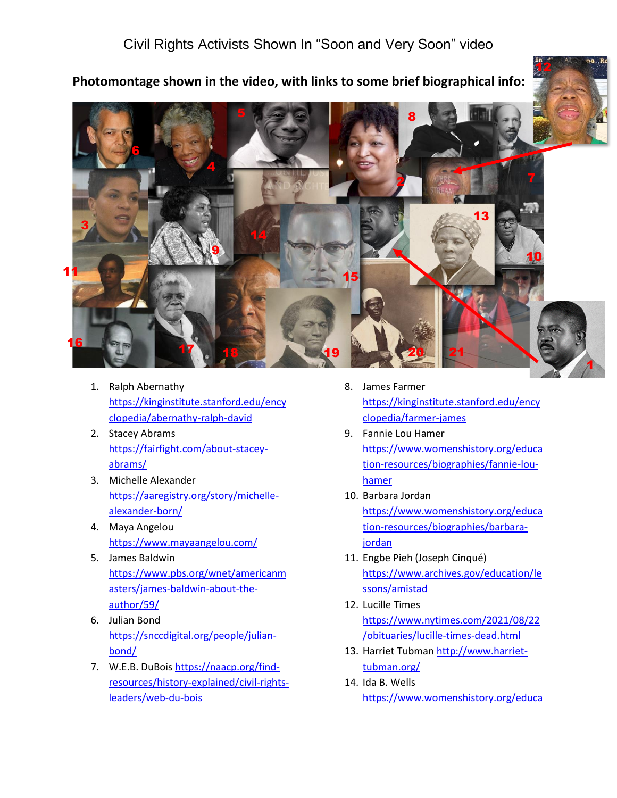# Civil Rights Activists Shown In "Soon and Very Soon" video



**Photomontage shown in the video, with links to some brief biographical info:**



- 1. Ralph Abernathy [https://kinginstitute.stanford.edu/ency](https://kinginstitute.stanford.edu/encyclopedia/abernathy-ralph-david) [clopedia/abernathy-ralph-david](https://kinginstitute.stanford.edu/encyclopedia/abernathy-ralph-david)
- 2. Stacey Abrams [https://fairfight.com/about-stacey](https://fairfight.com/about-stacey-abrams/)[abrams/](https://fairfight.com/about-stacey-abrams/)
- 3. Michelle Alexander [https://aaregistry.org/story/michelle](https://aaregistry.org/story/michelle-alexander-born/)[alexander-born/](https://aaregistry.org/story/michelle-alexander-born/)
- 4. Maya Angelou <https://www.mayaangelou.com/>
- 5. James Baldwin [https://www.pbs.org/wnet/americanm](https://www.pbs.org/wnet/americanmasters/james-baldwin-about-the-author/59/) [asters/james-baldwin-about-the](https://www.pbs.org/wnet/americanmasters/james-baldwin-about-the-author/59/)[author/59/](https://www.pbs.org/wnet/americanmasters/james-baldwin-about-the-author/59/)
- 6. Julian Bond [https://snccdigital.org/people/julian](https://snccdigital.org/people/julian-bond/)[bond/](https://snccdigital.org/people/julian-bond/)
- 7. W.E.B. DuBois [https://naacp.org/find](https://naacp.org/find-resources/history-explained/civil-rights-leaders/web-du-bois)[resources/history-explained/civil-rights](https://naacp.org/find-resources/history-explained/civil-rights-leaders/web-du-bois)[leaders/web-du-bois](https://naacp.org/find-resources/history-explained/civil-rights-leaders/web-du-bois)
- 8. James Farmer [https://kinginstitute.stanford.edu/ency](https://kinginstitute.stanford.edu/encyclopedia/farmer-james) [clopedia/farmer-james](https://kinginstitute.stanford.edu/encyclopedia/farmer-james)
- 9. Fannie Lou Hamer [https://www.womenshistory.org/educa](https://www.womenshistory.org/education-resources/biographies/fannie-lou-hamer) [tion-resources/biographies/fannie-lou](https://www.womenshistory.org/education-resources/biographies/fannie-lou-hamer)[hamer](https://www.womenshistory.org/education-resources/biographies/fannie-lou-hamer)
- 10. Barbara Jordan [https://www.womenshistory.org/educa](https://www.womenshistory.org/education-resources/biographies/barbara-jordan) [tion-resources/biographies/barbara](https://www.womenshistory.org/education-resources/biographies/barbara-jordan)[jordan](https://www.womenshistory.org/education-resources/biographies/barbara-jordan)
- 11. Engbe Pieh (Joseph Cinqué) [https://www.archives.gov/education/le](https://www.archives.gov/education/lessons/amistad) [ssons/amistad](https://www.archives.gov/education/lessons/amistad)
- 12. Lucille Times [https://www.nytimes.com/2021/08/22](https://www.nytimes.com/2021/08/22/obituaries/lucille-times-dead.html) [/obituaries/lucille-times-dead.html](https://www.nytimes.com/2021/08/22/obituaries/lucille-times-dead.html)
- 13. Harriet Tubman [http://www.harriet](http://www.harriet-tubman.org/)[tubman.org/](http://www.harriet-tubman.org/)
- 14. Ida B. Wells [https://www.womenshistory.org/educa](https://www.womenshistory.org/education-resources/biographies/ida-b-wells-barnett)